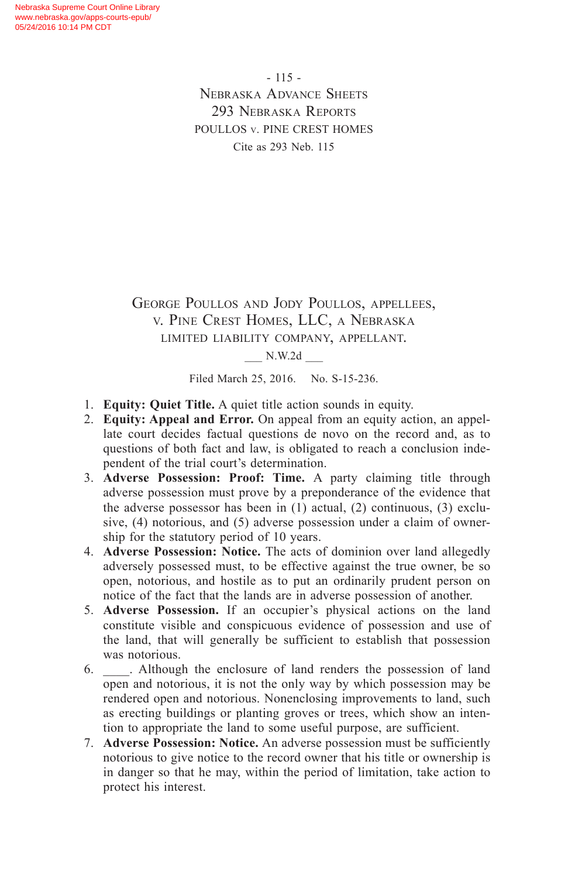Nebraska Supreme Court Online Library www.nebraska.gov/apps-courts-epub/ 05/24/2016 10:14 PM CDT

> - 115 - Nebraska Advance Sheets 293 Nebraska Reports POULLOS v. PINE CREST HOMES Cite as 293 Neb. 115

George Poullos and Jody Poullos, appellees, v. Pine Crest Homes, LLC, a Nebraska limited liability company, appellant.

\_\_\_ N.W.2d \_\_\_

Filed March 25, 2016. No. S-15-236.

- 1. **Equity: Quiet Title.** A quiet title action sounds in equity.
- 2. **Equity: Appeal and Error.** On appeal from an equity action, an appellate court decides factual questions de novo on the record and, as to questions of both fact and law, is obligated to reach a conclusion independent of the trial court's determination.
- 3. **Adverse Possession: Proof: Time.** A party claiming title through adverse possession must prove by a preponderance of the evidence that the adverse possessor has been in (1) actual, (2) continuous, (3) exclusive, (4) notorious, and (5) adverse possession under a claim of ownership for the statutory period of 10 years.
- 4. **Adverse Possession: Notice.** The acts of dominion over land allegedly adversely possessed must, to be effective against the true owner, be so open, notorious, and hostile as to put an ordinarily prudent person on notice of the fact that the lands are in adverse possession of another.
- 5. **Adverse Possession.** If an occupier's physical actions on the land constitute visible and conspicuous evidence of possession and use of the land, that will generally be sufficient to establish that possession was notorious.
- 6. \_\_\_\_. Although the enclosure of land renders the possession of land open and notorious, it is not the only way by which possession may be rendered open and notorious. Nonenclosing improvements to land, such as erecting buildings or planting groves or trees, which show an intention to appropriate the land to some useful purpose, are sufficient.
- 7. **Adverse Possession: Notice.** An adverse possession must be sufficiently notorious to give notice to the record owner that his title or ownership is in danger so that he may, within the period of limitation, take action to protect his interest.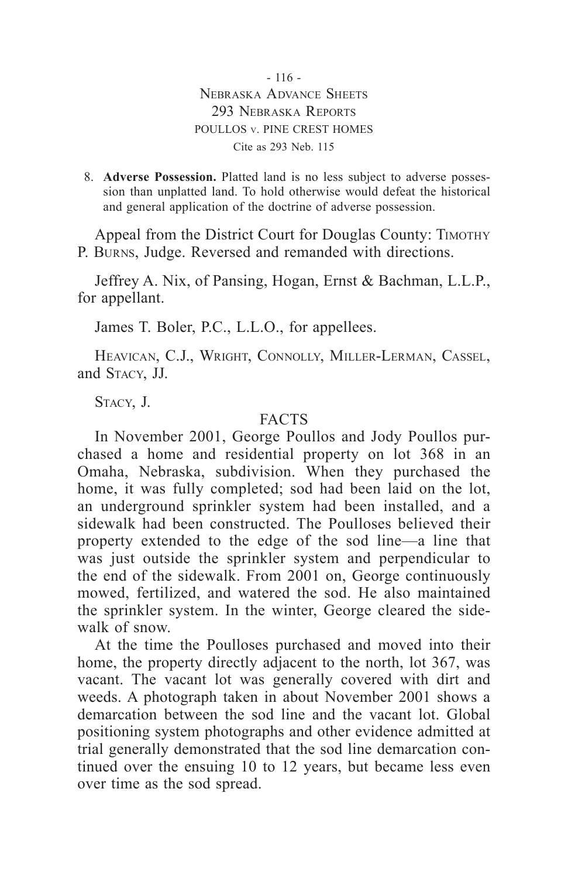- 116 - Nebraska Advance Sheets 293 Nebraska Reports POULLOS v. PINE CREST HOMES Cite as 293 Neb. 115

8. **Adverse Possession.** Platted land is no less subject to adverse possession than unplatted land. To hold otherwise would defeat the historical and general application of the doctrine of adverse possession.

Appeal from the District Court for Douglas County: Timothy P. Burns, Judge. Reversed and remanded with directions.

Jeffrey A. Nix, of Pansing, Hogan, Ernst & Bachman, L.L.P., for appellant.

James T. Boler, P.C., L.L.O., for appellees.

Heavican, C.J., Wright, Connolly, Miller-Lerman, Cassel, and Stacy, JJ.

Stacy, J.

## **FACTS**

In November 2001, George Poullos and Jody Poullos purchased a home and residential property on lot 368 in an Omaha, Nebraska, subdivision. When they purchased the home, it was fully completed; sod had been laid on the lot, an underground sprinkler system had been installed, and a sidewalk had been constructed. The Poulloses believed their property extended to the edge of the sod line—a line that was just outside the sprinkler system and perpendicular to the end of the sidewalk. From 2001 on, George continuously mowed, fertilized, and watered the sod. He also maintained the sprinkler system. In the winter, George cleared the sidewalk of snow.

At the time the Poulloses purchased and moved into their home, the property directly adjacent to the north, lot 367, was vacant. The vacant lot was generally covered with dirt and weeds. A photograph taken in about November 2001 shows a demarcation between the sod line and the vacant lot. Global positioning system photographs and other evidence admitted at trial generally demonstrated that the sod line demarcation continued over the ensuing 10 to 12 years, but became less even over time as the sod spread.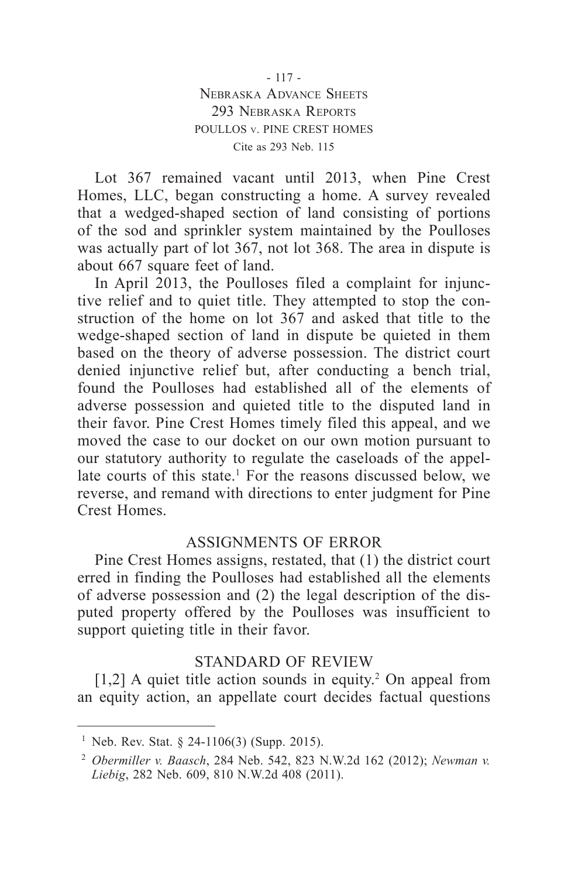- 117 - Nebraska Advance Sheets 293 Nebraska Reports POULLOS v. PINE CREST HOMES Cite as 293 Neb. 115

Lot 367 remained vacant until 2013, when Pine Crest Homes, LLC, began constructing a home. A survey revealed that a wedged-shaped section of land consisting of portions of the sod and sprinkler system maintained by the Poulloses was actually part of lot 367, not lot 368. The area in dispute is about 667 square feet of land.

In April 2013, the Poulloses filed a complaint for injunctive relief and to quiet title. They attempted to stop the construction of the home on lot 367 and asked that title to the wedge-shaped section of land in dispute be quieted in them based on the theory of adverse possession. The district court denied injunctive relief but, after conducting a bench trial, found the Poulloses had established all of the elements of adverse possession and quieted title to the disputed land in their favor. Pine Crest Homes timely filed this appeal, and we moved the case to our docket on our own motion pursuant to our statutory authority to regulate the caseloads of the appellate courts of this state.<sup>1</sup> For the reasons discussed below, we reverse, and remand with directions to enter judgment for Pine Crest Homes.

#### ASSIGNMENTS OF ERROR

Pine Crest Homes assigns, restated, that (1) the district court erred in finding the Poulloses had established all the elements of adverse possession and (2) the legal description of the disputed property offered by the Poulloses was insufficient to support quieting title in their favor.

## STANDARD OF REVIEW

 $[1,2]$  A quiet title action sounds in equity.<sup>2</sup> On appeal from an equity action, an appellate court decides factual questions

<sup>&</sup>lt;sup>1</sup> Neb. Rev. Stat. § 24-1106(3) (Supp. 2015).

<sup>2</sup> *Obermiller v. Baasch*, 284 Neb. 542, 823 N.W.2d 162 (2012); *Newman v. Liebig*, 282 Neb. 609, 810 N.W.2d 408 (2011).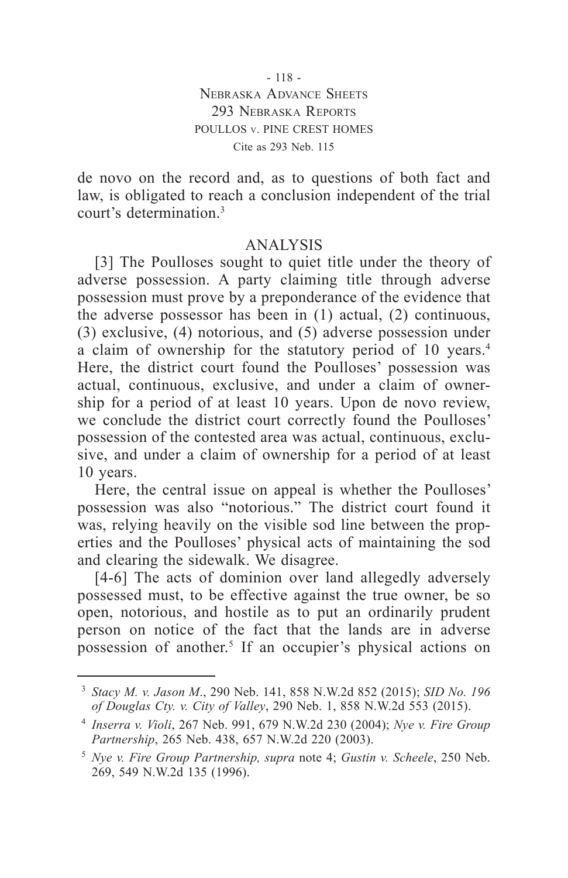- 118 - Nebraska Advance Sheets 293 Nebraska Reports POULLOS v. PINE CREST HOMES Cite as 293 Neb. 115

de novo on the record and, as to questions of both fact and law, is obligated to reach a conclusion independent of the trial court's determination.3

# ANALYSIS

[3] The Poulloses sought to quiet title under the theory of adverse possession. A party claiming title through adverse possession must prove by a preponderance of the evidence that the adverse possessor has been in (1) actual, (2) continuous, (3) exclusive, (4) notorious, and (5) adverse possession under a claim of ownership for the statutory period of 10 years.<sup>4</sup> Here, the district court found the Poulloses' possession was actual, continuous, exclusive, and under a claim of ownership for a period of at least 10 years. Upon de novo review, we conclude the district court correctly found the Poulloses' possession of the contested area was actual, continuous, exclusive, and under a claim of ownership for a period of at least 10 years.

Here, the central issue on appeal is whether the Poulloses' possession was also "notorious." The district court found it was, relying heavily on the visible sod line between the properties and the Poulloses' physical acts of maintaining the sod and clearing the sidewalk. We disagree.

[4-6] The acts of dominion over land allegedly adversely possessed must, to be effective against the true owner, be so open, notorious, and hostile as to put an ordinarily prudent person on notice of the fact that the lands are in adverse possession of another.<sup>5</sup> If an occupier's physical actions on

<sup>3</sup> *Stacy M. v. Jason M*., 290 Neb. 141, 858 N.W.2d 852 (2015); *SID No. 196 of Douglas Cty. v. City of Valley*, 290 Neb. 1, 858 N.W.2d 553 (2015).

<sup>4</sup> *Inserra v. Violi*, 267 Neb. 991, 679 N.W.2d 230 (2004); *Nye v. Fire Group Partnership*, 265 Neb. 438, 657 N.W.2d 220 (2003).

<sup>5</sup> *Nye v. Fire Group Partnership, supra* note 4; *Gustin v. Scheele*, 250 Neb. 269, 549 N.W.2d 135 (1996).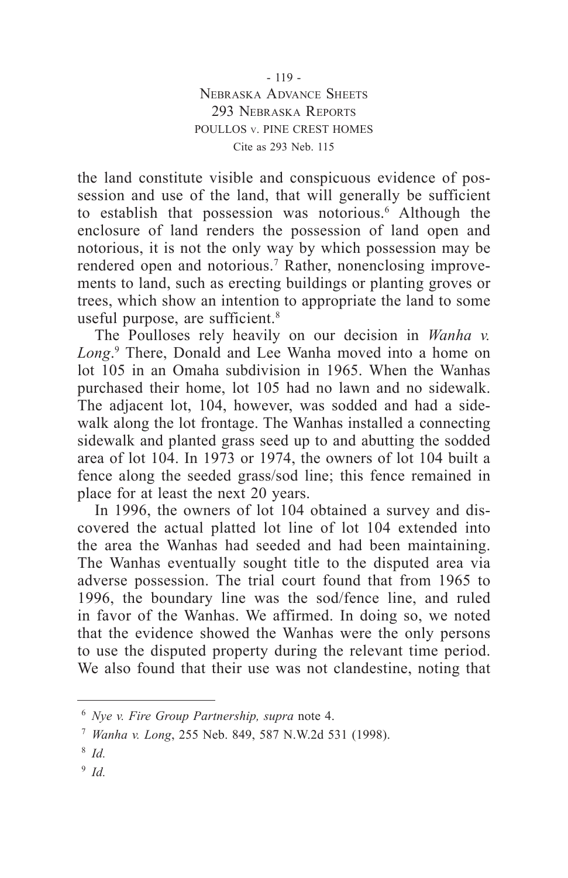- 119 - Nebraska Advance Sheets 293 Nebraska Reports POULLOS v. PINE CREST HOMES Cite as 293 Neb. 115

the land constitute visible and conspicuous evidence of possession and use of the land, that will generally be sufficient to establish that possession was notorious.6 Although the enclosure of land renders the possession of land open and notorious, it is not the only way by which possession may be rendered open and notorious.<sup>7</sup> Rather, nonenclosing improvements to land, such as erecting buildings or planting groves or trees, which show an intention to appropriate the land to some useful purpose, are sufficient.<sup>8</sup>

The Poulloses rely heavily on our decision in *Wanha v. Long*. 9 There, Donald and Lee Wanha moved into a home on lot 105 in an Omaha subdivision in 1965. When the Wanhas purchased their home, lot 105 had no lawn and no sidewalk. The adjacent lot, 104, however, was sodded and had a sidewalk along the lot frontage. The Wanhas installed a connecting sidewalk and planted grass seed up to and abutting the sodded area of lot 104. In 1973 or 1974, the owners of lot 104 built a fence along the seeded grass/sod line; this fence remained in place for at least the next 20 years.

In 1996, the owners of lot 104 obtained a survey and discovered the actual platted lot line of lot 104 extended into the area the Wanhas had seeded and had been maintaining. The Wanhas eventually sought title to the disputed area via adverse possession. The trial court found that from 1965 to 1996, the boundary line was the sod/fence line, and ruled in favor of the Wanhas. We affirmed. In doing so, we noted that the evidence showed the Wanhas were the only persons to use the disputed property during the relevant time period. We also found that their use was not clandestine, noting that

<sup>6</sup> *Nye v. Fire Group Partnership, supra* note 4.

<sup>7</sup> *Wanha v. Long*, 255 Neb. 849, 587 N.W.2d 531 (1998).

<sup>8</sup> *Id.*

<sup>9</sup> *Id.*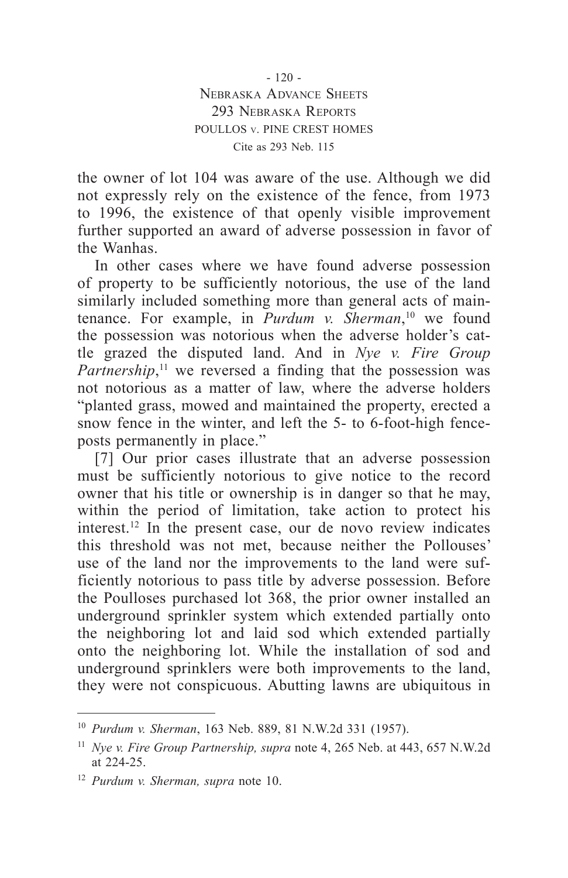- 120 - Nebraska Advance Sheets 293 Nebraska Reports POULLOS v. PINE CREST HOMES Cite as 293 Neb. 115

the owner of lot 104 was aware of the use. Although we did not expressly rely on the existence of the fence, from 1973 to 1996, the existence of that openly visible improvement further supported an award of adverse possession in favor of the Wanhas.

In other cases where we have found adverse possession of property to be sufficiently notorious, the use of the land similarly included something more than general acts of maintenance. For example, in *Purdum v. Sherman*, 10 we found the possession was notorious when the adverse holder's cattle grazed the disputed land. And in *Nye v. Fire Group*  Partnership,<sup>11</sup> we reversed a finding that the possession was not notorious as a matter of law, where the adverse holders "planted grass, mowed and maintained the property, erected a snow fence in the winter, and left the 5- to 6-foot-high fenceposts permanently in place."

[7] Our prior cases illustrate that an adverse possession must be sufficiently notorious to give notice to the record owner that his title or ownership is in danger so that he may, within the period of limitation, take action to protect his interest.12 In the present case, our de novo review indicates this threshold was not met, because neither the Pollouses' use of the land nor the improvements to the land were sufficiently notorious to pass title by adverse possession. Before the Poulloses purchased lot 368, the prior owner installed an underground sprinkler system which extended partially onto the neighboring lot and laid sod which extended partially onto the neighboring lot. While the installation of sod and underground sprinklers were both improvements to the land, they were not conspicuous. Abutting lawns are ubiquitous in

<sup>10</sup> *Purdum v. Sherman*, 163 Neb. 889, 81 N.W.2d 331 (1957).

<sup>11</sup> *Nye v. Fire Group Partnership, supra* note 4, 265 Neb. at 443, 657 N.W.2d at 224-25.

<sup>12</sup> *Purdum v. Sherman, supra* note 10.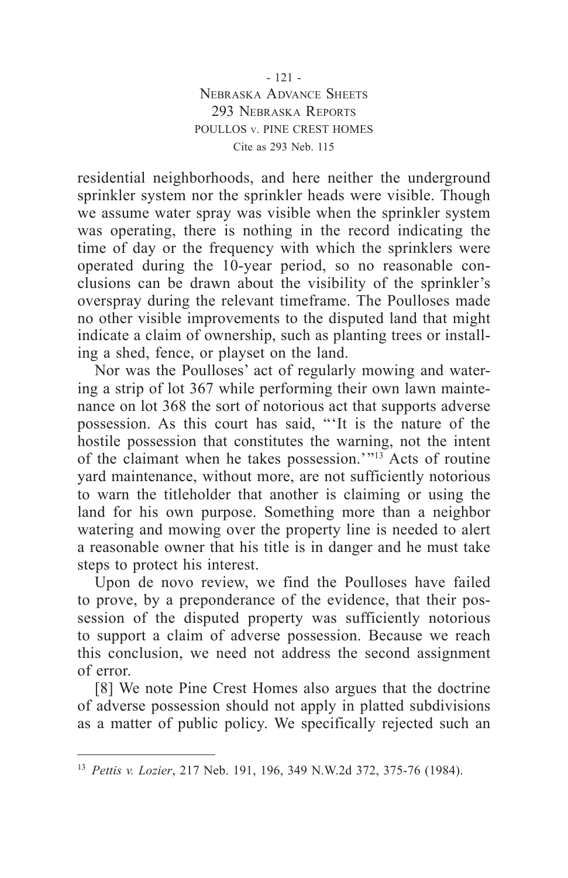- 121 - Nebraska Advance Sheets 293 Nebraska Reports POULLOS v. PINE CREST HOMES Cite as 293 Neb. 115

residential neighborhoods, and here neither the underground sprinkler system nor the sprinkler heads were visible. Though we assume water spray was visible when the sprinkler system was operating, there is nothing in the record indicating the time of day or the frequency with which the sprinklers were operated during the 10-year period, so no reasonable conclusions can be drawn about the visibility of the sprinkler's overspray during the relevant timeframe. The Poulloses made no other visible improvements to the disputed land that might indicate a claim of ownership, such as planting trees or installing a shed, fence, or playset on the land.

Nor was the Poulloses' act of regularly mowing and watering a strip of lot 367 while performing their own lawn maintenance on lot 368 the sort of notorious act that supports adverse possession. As this court has said, "'It is the nature of the hostile possession that constitutes the warning, not the intent of the claimant when he takes possession.'"13 Acts of routine yard maintenance, without more, are not sufficiently notorious to warn the titleholder that another is claiming or using the land for his own purpose. Something more than a neighbor watering and mowing over the property line is needed to alert a reasonable owner that his title is in danger and he must take steps to protect his interest.

Upon de novo review, we find the Poulloses have failed to prove, by a preponderance of the evidence, that their possession of the disputed property was sufficiently notorious to support a claim of adverse possession. Because we reach this conclusion, we need not address the second assignment of error.

[8] We note Pine Crest Homes also argues that the doctrine of adverse possession should not apply in platted subdivisions as a matter of public policy. We specifically rejected such an

<sup>13</sup> *Pettis v. Lozier*, 217 Neb. 191, 196, 349 N.W.2d 372, 375-76 (1984).